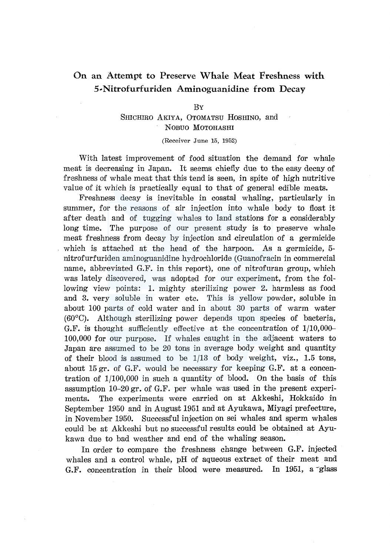# On an Attempt to Preserve Whale Meat Freshness with 5-Nitrofurfuriden Aminoguanidine from Decay

### BY

SHICHIRO AKIYA, OTOMATSU HOSHINO, and NOBUO MOTOHASHI

(Receiver June 15, 1952)

With latest improvement of food situation the demand for whale meat is decreasing in Japan. It seems chiefly due to the easy decay of freshness of whale meat that this tend is seen, in spite of high nutritive value of it which is practically equal to that of general edible meats.

Freshness decay is inevitable in coastal whaling, particularly in summer, for the reasons of air injection into whale body to float it after death and of tugging whales to land stations for a considerably long time. The purpose of our present study is to preserve whale meat freshness from decay by injection and circulation of a germicide which is attached at the head of the harpoon. As a germicide, 5 nitrofurfuriden aminoguanidine hydrochloride (Guanofracin in commercial name, abbreviated G.F. in this report), one of nitrofuran group, which was lately discovered, was adopted for our experiment, from the following view points: 1. mighty sterilizing power 2. harmless as food and 3. very soluble in water etc. This is yellow powder, soluble in about 100 parts of cold water and in about 30 parts of warm water (60°C). Although sterilizing power depends upon species of bacteria, G.F. is thought sufficiently effective at the concentration of 1/10,000- 100,000 for our purpose. If whales caught in the adjacent waters to Japan are assumed to be 20 tons in average body weight and quantity of their blood is assumed to be  $1/13$  of body weight, viz., 1.5 tons, about 15 gr. of G.F. would be necessary for keeping G.F. at a concentration of 1/100,000 in such a quantity of blood. On the basis of this assumption 10-20 gr. of G.F. per whale was used in the present experiments. The experiments were carried on at Akkeshi, Hokkaido in September 1950 and in August 1951 and at Ayukawa, Miyagi prefecture, in November 1950. Successful injection on sei whales and sperm whales could be at Akkeshi but no successful results could be obtained at Ayukawa due to bad weather and end of the whaling season.

In order to compare the freshness change between G.F. injected whales and a control whale, pH of aqueous extract of their meat and G.F. concentration in their blood were measured. In 1951, a glass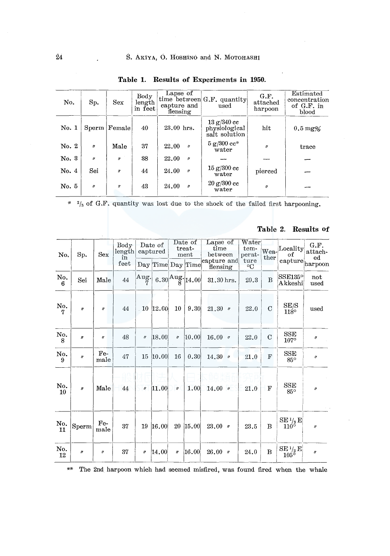| No.   | Sp.                 | Sex                         | Body<br>length<br>in feet | Lapse of<br>capture and<br>flensing | time between $G.F.$ quantity<br>used         | G.F.<br>attached<br>harpoon | Estimated<br>concentration<br>of G.F. in<br>blood |
|-------|---------------------|-----------------------------|---------------------------|-------------------------------------|----------------------------------------------|-----------------------------|---------------------------------------------------|
| No. 1 | Sperm               | Female                      | 40                        | 23.00 hrs.                          | 13 g/340 c<br>physiological<br>salt solution | hit                         | $0.5 \,\mathrm{mg\%}$                             |
| No. 2 | $\boldsymbol{\eta}$ | Male                        | 37                        | 22.00<br>$\boldsymbol{p}$           | $5 g/300 c$ .<br>water                       | $\mathbf{r}$                | trace                                             |
| No. 3 | $^{\prime\prime}$   | $\boldsymbol{v}$            | 38                        | 22.00<br>$\theta$                   |                                              |                             |                                                   |
| No. 4 | Sei                 | $\boldsymbol{\prime\prime}$ | 44                        | 24.00<br>$\prime$                   | $15 g/300 c$ c<br>water                      | pierced                     |                                                   |
| No. 5 | $\theta$            | $^{\prime\prime}$           | 43                        | 24.00<br>$\theta$                   | $20 g/300 c$ c<br>water                      | $\theta$                    |                                                   |

Table 1. Results of Experiments in 1950.

\*  $\frac{2}{3}$  of G.F. quantity was lost due to the shock of the failed first harpooning.

| No.                   | Sp.                 | Sex                 | Body<br>length<br>in<br>feet | Date of<br>captured                                       |                   | Date of<br>treat-<br>ment |                   | Lapse of<br>time<br>between | Water<br>tem-<br>perat- | ther        | Wea-Locality<br>оf                       | G.F.<br>attach-<br>ed |
|-----------------------|---------------------|---------------------|------------------------------|-----------------------------------------------------------|-------------------|---------------------------|-------------------|-----------------------------|-------------------------|-------------|------------------------------------------|-----------------------|
|                       |                     |                     |                              |                                                           | Day Time Day Time |                           |                   | capture and<br>flensing     | ture<br>$\rm ^{o}C$     |             | capture                                  | harpoon               |
| $\frac{\text{No}}{6}$ | Sei                 | Male                | 44                           | $\begin{bmatrix} \text{Aug.} \\ \text{Eq.} \end{bmatrix}$ |                   |                           | 6.30 Aug. $14.00$ | 31.30 hrs.                  | 20.3                    | B           | SSE135°<br>Akkeshi                       | $_{\rm not}$<br>used  |
| No.<br>7              | $\theta$            | $\boldsymbol{\eta}$ | 44                           |                                                           | 10 12.00          | 10                        | 9.30              | $21.30$ $*$                 | 22.0                    | $\mathbf C$ | $\rm SE/S$<br>118°                       | used                  |
| No.<br>8              | $\theta$            | $\boldsymbol{''}$   | 48                           | $\theta$                                                  | 18.00             | $\boldsymbol{\eta}$       | 10.00             | $16.00$ $\prime$            | 22.0                    | $\mathbf C$ | <b>SSE</b><br>$107^\circ$                | $^{\prime\prime}$     |
| No.<br>9              | $\boldsymbol{\eta}$ | Fe-<br>male         | 47                           | 15                                                        | 10.00             | 16                        | 0.30              | $14.30$ $\prime$            | 21,0                    | $\mathbf F$ | <b>SSE</b><br>$85^\circ$                 | v,                    |
| No.<br>10             | $\theta$            | Male                | 44                           | $\boldsymbol{\eta}$                                       | 11.00             | $\boldsymbol{\eta}$       | 1.00              | $14.00$ $''$                | 21.0                    | F           | SSE<br>85°                               | $\theta$              |
| No.<br>11             | Sperm               | Fe-<br>male         | 37                           | 19                                                        | 16.00             | 20                        | 15,00             | $23.00$ $'$                 | 23.5                    | B           | $\frac{\text{SE 1}_{2}}{110^{\circ}}$ E  | $\theta$              |
| No.<br>12             | $\boldsymbol{H}$    | $^{\prime\prime}$   | 37                           | $^{\prime\prime}$                                         | 14.00             | $\eta$                    | [16.00]           | $26.00$ $\nu$               | 24.0                    | в           | $\frac{\mathrm{SE~}^{1/2}}{105^\circ}$ E | $\theta$              |

## Table 2. Results of

 $\star\star$ The 2nd harpoon which had seemed misfired, was found fired when the whale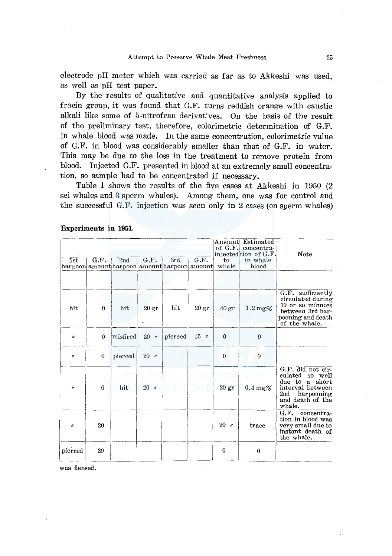electrode pH meter which was carried as far as to Akkeshi was used, as well as pH test paper.

By the results of qualitative and quantitative analysis applied to fracin group, it was found that G.F. turns reddish orange with caustic alkali like some of 5-nitrofran derivatives. On the basis of the result of the preliminary test, therefore, colorimetric determination of G.F. in whale blood was made. In the same concentration, colorimetric value of G.F. in blood was considerably smaller than that of G.F. in water. This may be due to the loss in the treatment to remove protein from blood. Injected G.F. presented in blood at an extremely small concentration, so sample had to be concentrated if necessary.

Table **1** shows the results of the five cases at Akkeshi in 1950 (2 sei whales and 3 sperm whales). Among them, one was for control and the successful G.F. injection was seen only in 2 cases (on sperm whales)

| 1st                 | G.F.     | 2nd                                             | G.F.                   | 3rd     | G.F.              | Amount<br>of $G.F.$<br>to | Estimated<br>concentra-<br>injected tion of G.F.<br>in whale | Note                                                                                                                                |
|---------------------|----------|-------------------------------------------------|------------------------|---------|-------------------|---------------------------|--------------------------------------------------------------|-------------------------------------------------------------------------------------------------------------------------------------|
|                     |          | harpoon  amount harpoon  amount harpoon  amount |                        |         |                   | whale                     | blood                                                        |                                                                                                                                     |
|                     |          |                                                 |                        |         |                   |                           |                                                              |                                                                                                                                     |
| hit                 | $\theta$ | hit                                             | 20 <sub>gr</sub><br>ç. | hit     | $20\,\mathrm{gr}$ | $40\,\mathrm{gr}$         | $1.2 \,\mathrm{mg\%}$                                        | G.F. sufficiently<br>circulated during<br>10 or so minutes<br>between 3rd har-<br>pooning and death<br>of the whale.                |
| $\boldsymbol{\eta}$ | $\theta$ | misfired                                        | $20 - v$               | pierced | $15$ $\prime$     | $\theta$                  | $\bf{0}$                                                     |                                                                                                                                     |
| $\boldsymbol{\eta}$ | $\theta$ | pierced                                         | $20$ $''$              |         |                   | $\bf{0}$                  | $\boldsymbol{0}$                                             |                                                                                                                                     |
| $\boldsymbol{\eta}$ | $\theta$ | hit                                             | 20 <sub>''</sub>       |         |                   | 20 <sub>gr</sub>          | $0.4 \,\mathrm{mg\%}$                                        | G.F. did not cir-<br>culated<br>so well<br>a short<br>due to<br>interval between<br>2nd<br>harpooning<br>and death of the<br>whale. |
| n                   | 20       |                                                 |                        |         |                   | 20<br>$^{\prime\prime}$   | trace                                                        | G.F.<br>$concentra-$<br>tion in blood was<br>very small due to<br>instant death of<br>the whale.                                    |
| pierced             | 20       |                                                 |                        |         |                   | $\bf{0}$                  | $\bf{0}$                                                     |                                                                                                                                     |

**Experiments in 1951.** 

was flensed.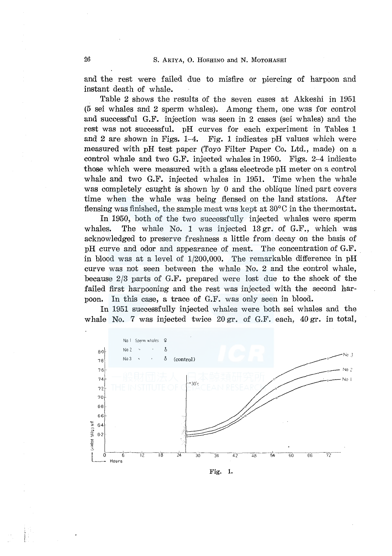and the rest were failed due to misfire or piercing of harpoon and instant death of whale.

Table 2 shows the results of the seven cases at Akkeshi in 1951 (5 sei whales and 2 sperm whales). Among them, one was for control and successful G.F. injection was seen in 2 cases (sei whales) and the rest was not successful. pH curves for each experiment in Tables 1 and 2 are shown in Figs.  $1-4$ . Fig. 1 indicates pH values which were measured with pH test paper (Toyo Filter Paper Co. Ltd., made) on a control whale and two G.F. injected whales in 1950. Figs. 2-4 indicate those which were measured with a glass electrode pH meter on a control whale and two G.F. injected whales in 1951. Time when the whale was completely caught is shown by 0 and the oblique lined part covers time when the whale was being flensed on the land stations. After flensing was finished, the sample meat was kept at 30°C in the thermostat.

In 1950, both of the two successfully injected whales were sperm whales. The whale No. 1 was injected 13 gr. of G.F., which was acknowledged to preserve freshness a little from decay on the basis of pH curve and odor and appearance of meat. The concentration of G.F. in blood was at a level of 1/200,000. The remarkable difference in pH curve was not seen between the whale No. 2 and the control whale, because 2/3 parts of G.F. prepared were lost due to the shock of the failed first harpooning and the rest was injected with the second harpoon. In this case, a trace of G.F. was only seen in blood.

In 1951 successfully injected whales were both sei whales and the whale No. 7 was injected twice 20 gr. of G.F. each, 40 gr. in total,

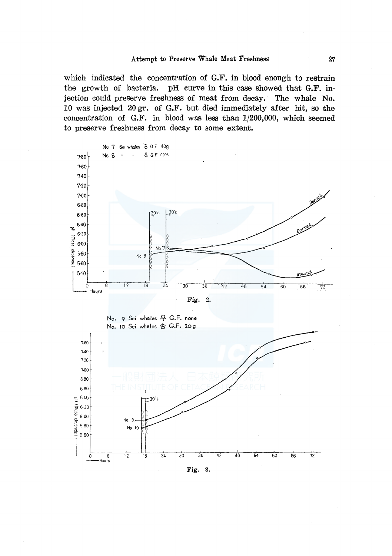which indicated the concentration of G.F. in blood enough to restrain the growth of bacteria. pH curve in this case showed that G.F. injection could preserve freshness of meat from decay. The whale No. 10 was injected 20 gr. of G.F. but died immediately after hit, so the concentration of G.F. in blood was less than 1/200,000, which seemed to preserve freshness from decay to some extent.

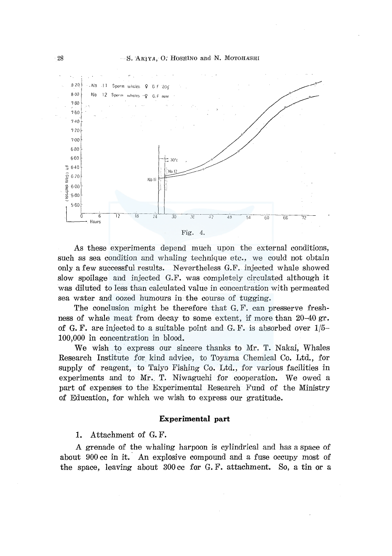

As these experiments depend much upon the external conditions, such as sea condition and whaling technique etc., we could not obtain only a few successful results. Nevertheless G.F. injected whale showed slow spoilage and injected G.F. was completely circulated although it was diluted to less than calculated value in concentration with permeated sea water and oozed humours in the course of tugging.

The conclusion might be therefore that G. F. can presserve freshness of whale meat from decay to some extent, if more than 20-40 gr. of G. F. are injected to a suitable point and G. F. is absorbed over  $1/5$ -100,000 in concentration in blood.

We wish to express our sincere thanks to Mr. T. Nakai, Whales Research Institute for kind advice, to Toyama Chemical Co. Ltd., for supply of reagent, to Taiyo Fishing Co. Ltd., for various facilities in experiments and to Mr. T. Niwaguchi for cooperation. We owed a part of expenses to the Experimental Research Fund of the Ministry of Education, for which we wish to express our gratitude.

#### **Experimental part**

1. Attachment of G. F.

A grenade of the whaling harpoon is cylindrical and has a space of about  $900 \text{ cc}$  in it. An explosive compound and a fuse occupy most of the space, leaving about 300 cc for G. F. attachment. So, a tin or a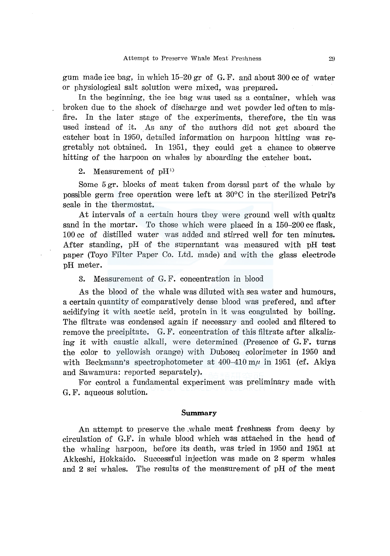gum made ice bag, in which 15-20 gr of G. F. and about 300 cc of water or physiological salt solution were mixed, was prepared.

In the beginning, the ice bag was used as a container, which was broken due to the shock of discharge and wet powder led often to misfire. In the later stage of the experiments, therefore, the tin was used instead of it. As any of the authors did not get aboard the catcher boat in 1950, detailed information on harpoon hitting was regretably not obtained. In 1951, they could get a chance to observe hitting of the harpoon on whales by aboarding the catcher boat.

## 2. Measurement of  $\rm pH^{1)}$

Some 5 gr. blocks of meat taken from dorsal part of the whale by possible germ free operation were left at 30°C in the sterilized Petri's scale in the thermostat.

At intervals of a certain hours they were ground well with qualtz sand in the mortar. To those which were placed in a 150-200 cc flask, 100 cc of distilled water was added and stirred well for ten minutes. After standing, pH of the supernatant was measured with pH test paper (Toyo Filter Paper Co. Ltd. made) and with the glass electrode pH meter.

3. Measurement of G. F. concentration in blood

As the blood of the whale was diluted with sea water and humours, a certain quantity of comparatively dense blood was prefered, and after acidifying it with acetic acid, protein in it was coagulated by boiling. The filtrate was condensed again if necessary and cooled and filtered to remove the precipitate. G. F. concentration of this filtrate after alkalizing it with caustic alkali, were determined (Presence of G. F. turns the color to yellowish orange) with Duboscq colorimeter in 1950 and with Beckmann's spectrophotometer at  $400-410$  m $\mu$  in 1951 (cf. Akiya and Sawamura: reported separately).

For control a fundamental experiment was preliminary made with G. F. aqueous solution.

#### **Summary**

An attempt to preserve the .whale meat freshness from decay by circulation of G.F. in whale blood which was attached in the head of the whaling harpoon, before its death, was tried in 1950 and 1951 at Akkeshi, Hokkaido. Successful injection was made on 2 sperm whales and 2 sei whales. The results of the measurement of pH of the meat